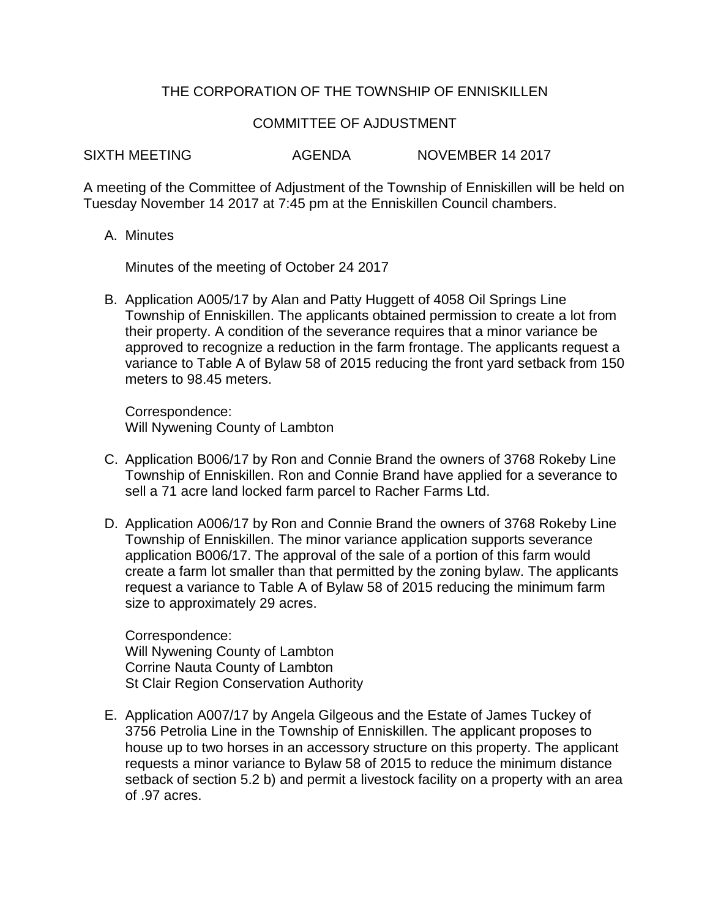## THE CORPORATION OF THE TOWNSHIP OF ENNISKILLEN

## COMMITTEE OF AJDUSTMENT

SIXTH MEETING  $AGFNDA$  NOVEMBER 14 2017

A meeting of the Committee of Adjustment of the Township of Enniskillen will be held on Tuesday November 14 2017 at 7:45 pm at the Enniskillen Council chambers.

A. Minutes

Minutes of the meeting of October 24 2017

B. Application A005/17 by Alan and Patty Huggett of 4058 Oil Springs Line Township of Enniskillen. The applicants obtained permission to create a lot from their property. A condition of the severance requires that a minor variance be approved to recognize a reduction in the farm frontage. The applicants request a variance to Table A of Bylaw 58 of 2015 reducing the front yard setback from 150 meters to 98.45 meters.

Correspondence: Will Nywening County of Lambton

- C. Application B006/17 by Ron and Connie Brand the owners of 3768 Rokeby Line Township of Enniskillen. Ron and Connie Brand have applied for a severance to sell a 71 acre land locked farm parcel to Racher Farms Ltd.
- D. Application A006/17 by Ron and Connie Brand the owners of 3768 Rokeby Line Township of Enniskillen. The minor variance application supports severance application B006/17. The approval of the sale of a portion of this farm would create a farm lot smaller than that permitted by the zoning bylaw. The applicants request a variance to Table A of Bylaw 58 of 2015 reducing the minimum farm size to approximately 29 acres.

Correspondence: Will Nywening County of Lambton Corrine Nauta County of Lambton St Clair Region Conservation Authority

E. Application A007/17 by Angela Gilgeous and the Estate of James Tuckey of 3756 Petrolia Line in the Township of Enniskillen. The applicant proposes to house up to two horses in an accessory structure on this property. The applicant requests a minor variance to Bylaw 58 of 2015 to reduce the minimum distance setback of section 5.2 b) and permit a livestock facility on a property with an area of .97 acres.